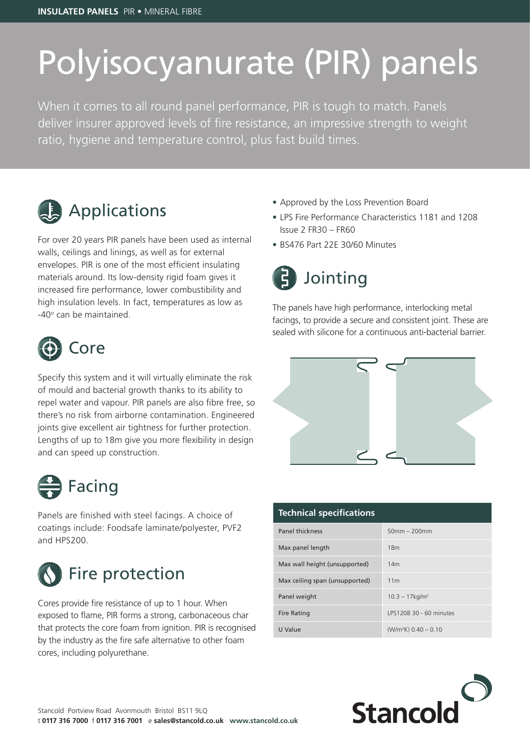## Polyisocyanurate (PIR) panels

When it comes to all round panel performance, PIR is tough to match. Panels deliver insurer approved levels of fire resistance, an impressive strength to weight ratio, hygiene and temperature control, plus fast build times.



For over 20 years PIR panels have been used as internal walls, ceilings and linings, as well as for external envelopes. PIR is one of the most efficient insulating materials around. Its low-density rigid foam gives it increased fire performance, lower combustibility and high insulation levels. In fact, temperatures as low as -40° can be maintained.



Specify this system and it will virtually eliminate the risk of mould and bacterial growth thanks to its ability to repel water and vapour. PIR panels are also fibre free, so there's no risk from airborne contamination. Engineered joints give excellent air tightness for further protection. Lengths of up to 18m give you more flexibility in design and can speed up construction.



Panels are finished with steel facings. A choice of coatings include: Foodsafe laminate/polyester, PVF2 and HPS200.



Cores provide fire resistance of up to 1 hour. When exposed to flame, PIR forms a strong, carbonaceous char that protects the core foam from ignition. PIR is recognised by the industry as the fire safe alternative to other foam cores, including polyurethane.

- Approved by the Loss Prevention Board
- LPS Fire Performance Characteristics 1181 and 1208 Issue 2 FR30 – FR60
- BS476 Part 22E 30/60 Minutes



The panels have high performance, interlocking metal facings, to provide a secure and consistent joint. These are sealed with silicone for a continuous anti-bacterial barrier.



| <b>Technical specifications</b> |                               |
|---------------------------------|-------------------------------|
| <b>Panel thickness</b>          | $50mm - 200mm$                |
| Max panel length                | 18 <sub>m</sub>               |
| Max wall height (unsupported)   | 14 <sub>m</sub>               |
| Max ceiling span (unsupported)  | 11 <sub>m</sub>               |
| Panel weight                    | $10.3 - 17$ kg/m <sup>2</sup> |
| <b>Fire Rating</b>              | LPS1208 30 - 60 minutes       |
| U Value                         | $(W/m2K)$ 0.40 - 0.10         |